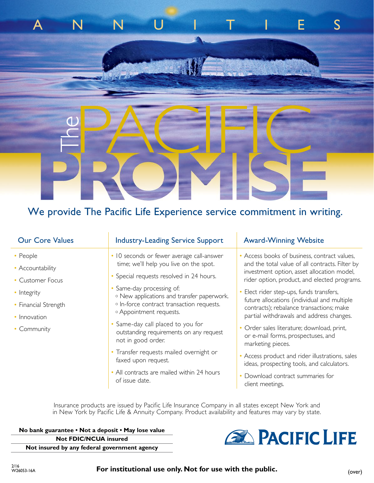# We provide The Pacific Life Experience service commitment in writing.

ANNUITIES

| <b>Our Core Values</b> | <b>Industry-Leading Service Support</b>                                                            | <b>Award-Winning Website</b>                                                                                                        |
|------------------------|----------------------------------------------------------------------------------------------------|-------------------------------------------------------------------------------------------------------------------------------------|
| • People               | • 10 seconds or fewer average call-answer                                                          | • Access books of business, contract values,                                                                                        |
| • Accountability       | time; we'll help you live on the spot.                                                             | and the total value of all contracts. Filter by<br>investment option, asset allocation model,                                       |
| • Customer Focus       | • Special requests resolved in 24 hours.                                                           | rider option, product, and elected programs.                                                                                        |
| • Integrity            | • Same-day processing of:<br><sup>o</sup> New applications and transfer paperwork.                 | • Elect rider step-ups, funds transfers,                                                                                            |
| • Financial Strength   | o In-force contract transaction requests.<br><sup>o</sup> Appointment requests.                    | future allocations (individual and multiple<br>contracts); rebalance transactions; make<br>partial withdrawals and address changes. |
| • Innovation           |                                                                                                    |                                                                                                                                     |
| • Community            | • Same-day call placed to you for<br>outstanding requirements on any request<br>not in good order. | · Order sales literature; download, print,<br>or e-mail forms, prospectuses, and<br>marketing pieces.                               |
|                        | • Transfer requests mailed overnight or<br>faxed upon request.                                     | • Access product and rider illustrations, sales<br>ideas, prospecting tools, and calculators.                                       |
|                        | • All contracts are mailed within 24 hours<br>of issue date.                                       | • Download contract summaries for<br>client meetings.                                                                               |

Insurance products are issued by Pacific Life Insurance Company in all states except New York and in New York by Pacific Life & Annuity Company. Product availability and features may vary by state.

**No bank guarantee • Not a deposit • May lose value Not FDIC/NCUA insured**



**Not insured by any federal government agency**

For institutional use only. Not for use with the public.